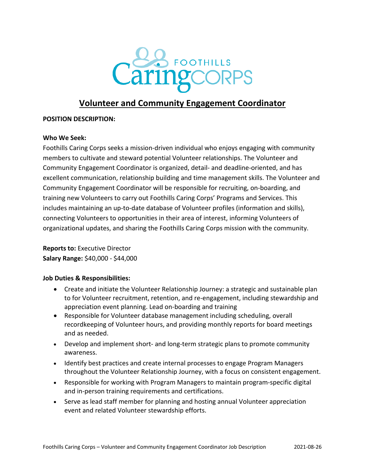

# **Volunteer and Community Engagement Coordinator**

# **POSITION DESCRIPTION:**

## **Who We Seek:**

Foothills Caring Corps seeks a mission-driven individual who enjoys engaging with community members to cultivate and steward potential Volunteer relationships. The Volunteer and Community Engagement Coordinator is organized, detail- and deadline-oriented, and has excellent communication, relationship building and time management skills. The Volunteer and Community Engagement Coordinator will be responsible for recruiting, on-boarding, and training new Volunteers to carry out Foothills Caring Corps' Programs and Services. This includes maintaining an up-to-date database of Volunteer profiles (information and skills), connecting Volunteers to opportunities in their area of interest, informing Volunteers of organizational updates, and sharing the Foothills Caring Corps mission with the community.

**Reports to:** Executive Director **Salary Range:** \$40,000 - \$44,000

## **Job Duties & Responsibilities:**

- Create and initiate the Volunteer Relationship Journey: a strategic and sustainable plan to for Volunteer recruitment, retention, and re-engagement, including stewardship and appreciation event planning. Lead on-boarding and training
- Responsible for Volunteer database management including scheduling, overall recordkeeping of Volunteer hours, and providing monthly reports for board meetings and as needed.
- Develop and implement short- and long-term strategic plans to promote community awareness.
- Identify best practices and create internal processes to engage Program Managers throughout the Volunteer Relationship Journey, with a focus on consistent engagement.
- Responsible for working with Program Managers to maintain program-specific digital and in-person training requirements and certifications.
- Serve as lead staff member for planning and hosting annual Volunteer appreciation event and related Volunteer stewardship efforts.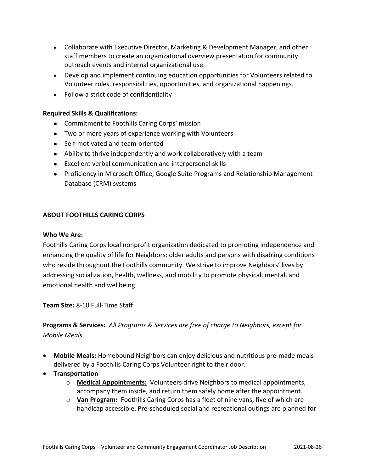- Collaborate with Executive Director, Marketing & Development Manager, and other staff members to create an organizational overview presentation for community outreach events and internal organizational use.
- Develop and implement continuing education opportunities for Volunteers related to Volunteer roles, responsibilities, opportunities, and organizational happenings.
- Follow a strict code of confidentiality

## **Required Skills & Qualifications:**

- Commitment to Foothills Caring Corps' mission
- Two or more years of experience working with Volunteers
- Self-motivated and team-oriented
- Ability to thrive independently and work collaboratively with a team
- Excellent verbal communication and interpersonal skills
- Proficiency in Microsoft Office, Google Suite Programs and Relationship Management Database (CRM) systems

#### **ABOUT FOOTHILLS CARING CORPS**

#### **Who We Are:**

Foothills Caring Corps local nonprofit organization dedicated to promoting independence and enhancing the quality of life for Neighbors: older adults and persons with disabling conditions who reside throughout the Foothills community. We strive to improve Neighbors' lives by addressing socialization, health, wellness, and mobility to promote physical, mental, and emotional health and wellbeing.

**Team Size:** 8-10 Full-Time Staff

# **Programs & Services:** *All Programs & Services are free of charge to Neighbors, except for Mobile Meals.*

- **Mobile Meals:** Homebound Neighbors can enjoy delicious and nutritious pre-made meals delivered by a Foothills Caring Corps Volunteer right to their door.
- **Transportation**
	- o **Medical Appointments:** Volunteers drive Neighbors to medical appointments, accompany them inside, and return them safely home after the appointment.
	- o **Van Program:** Foothills Caring Corps has a fleet of nine vans, five of which are handicap accessible. Pre-scheduled social and recreational outings are planned for